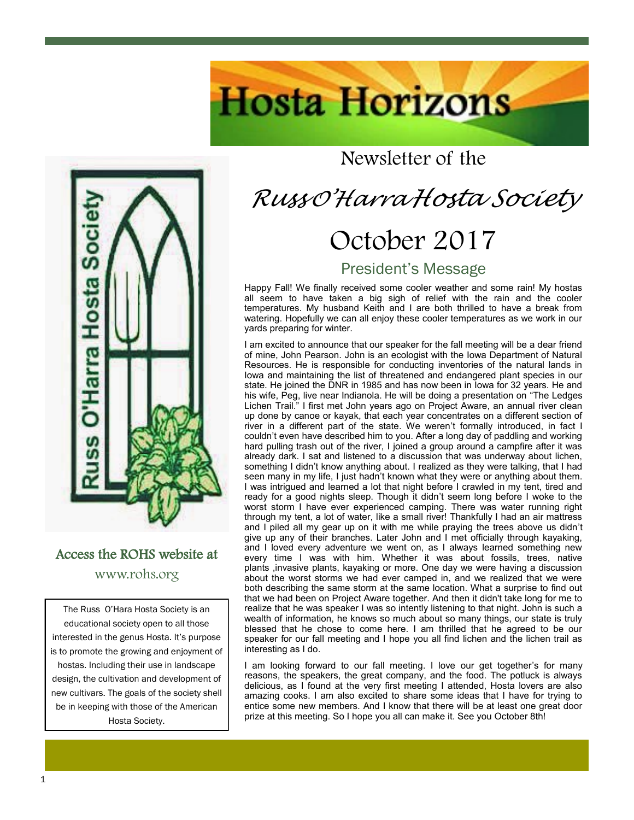

### Access the ROHS website at

www.rohs.org

The Russ O'Hara Hosta Society is an educational society open to all those interested in the genus Hosta. It's purpose is to promote the growing and enjoyment of hostas. Including their use in landscape design, the cultivation and development of new cultivars. The goals of the society shell be in keeping with those of the American Hosta Society.

## Newsletter of the

**Hosta Horizons** 

## *Russ <sup>O</sup>'Harra Hosta Society*

# October 2017

### President's Message

Happy Fall! We finally received some cooler weather and some rain! My hostas all seem to have taken a big sigh of relief with the rain and the cooler temperatures. My husband Keith and I are both thrilled to have a break from watering. Hopefully we can all enjoy these cooler temperatures as we work in our yards preparing for winter.

I am excited to announce that our speaker for the fall meeting will be a dear friend of mine, John Pearson. John is an ecologist with the Iowa Department of Natural Resources. He is responsible for conducting inventories of the natural lands in Iowa and maintaining the list of threatened and endangered plant species in our state. He joined the DNR in 1985 and has now been in Iowa for 32 years. He and his wife, Peg, live near Indianola. He will be doing a presentation on "The Ledges Lichen Trail." I first met John years ago on Project Aware, an annual river clean up done by canoe or kayak, that each year concentrates on a different section of river in a different part of the state. We weren't formally introduced, in fact I couldn't even have described him to you. After a long day of paddling and working hard pulling trash out of the river, I joined a group around a campfire after it was already dark. I sat and listened to a discussion that was underway about lichen, something I didn't know anything about. I realized as they were talking, that I had seen many in my life, I just hadn't known what they were or anything about them. I was intrigued and learned a lot that night before I crawled in my tent, tired and ready for a good nights sleep. Though it didn't seem long before I woke to the worst storm I have ever experienced camping. There was water running right through my tent, a lot of water, like a small river! Thankfully I had an air mattress and I piled all my gear up on it with me while praying the trees above us didn't give up any of their branches. Later John and I met officially through kayaking, and I loved every adventure we went on, as I always learned something new every time I was with him. Whether it was about fossils, trees, native plants ,invasive plants, kayaking or more. One day we were having a discussion about the worst storms we had ever camped in, and we realized that we were both describing the same storm at the same location. What a surprise to find out that we had been on Project Aware together. And then it didn't take long for me to realize that he was speaker I was so intently listening to that night. John is such a wealth of information, he knows so much about so many things, our state is truly blessed that he chose to come here. I am thrilled that he agreed to be our speaker for our fall meeting and I hope you all find lichen and the lichen trail as interesting as I do.

I am looking forward to our fall meeting. I love our get together's for many reasons, the speakers, the great company, and the food. The potluck is always delicious, as I found at the very first meeting I attended, Hosta lovers are also amazing cooks. I am also excited to share some ideas that I have for trying to entice some new members. And I know that there will be at least one great door prize at this meeting. So I hope you all can make it. See you October 8th!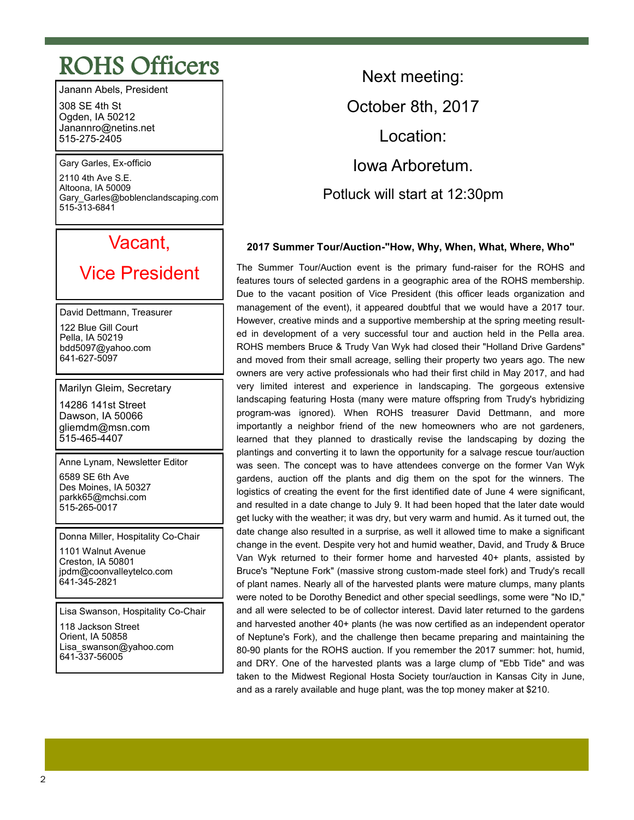## ROHS Officers

Janann Abels, President

308 SE 4th St Ogden, IA 50212 Janannro@netins.net 515-275-2405

Gary Garles, Ex-officio

2110 4th Ave S.E. Altoona, IA 50009 Gary\_Garles@boblenclandscaping.com 515-313-6841

### Vacant,

## Vice President

David Dettmann, Treasurer 122 Blue Gill Court Pella, IA 50219 bdd5097@yahoo.com 641-627-5097

Marilyn Gleim, Secretary

14286 141st Street Dawson, IA 50066 gliemdm@msn.com 515-465-4407

Anne Lynam, Newsletter Editor 6589 SE 6th Ave Des Moines, IA 50327 parkk65@mchsi.com 515-265-0017

Donna Miller, Hospitality Co-Chair

1101 Walnut Avenue Creston, IA 50801 jpdm@coonvalleytelco.com 641-345-2821

Lisa Swanson, Hospitality Co-Chair

118 Jackson Street Orient, IA 50858 Lisa swanson@yahoo.com 641-337-56005

Next meeting: October 8th, 2017 Location: Iowa Arboretum. Potluck will start at 12:30pm

#### **2017 Summer Tour/Auction-"How, Why, When, What, Where, Who"**

The Summer Tour/Auction event is the primary fund-raiser for the ROHS and features tours of selected gardens in a geographic area of the ROHS membership. Due to the vacant position of Vice President (this officer leads organization and management of the event), it appeared doubtful that we would have a 2017 tour. However, creative minds and a supportive membership at the spring meeting resulted in development of a very successful tour and auction held in the Pella area. ROHS members Bruce & Trudy Van Wyk had closed their "Holland Drive Gardens" and moved from their small acreage, selling their property two years ago. The new owners are very active professionals who had their first child in May 2017, and had very limited interest and experience in landscaping. The gorgeous extensive landscaping featuring Hosta (many were mature offspring from Trudy's hybridizing program-was ignored). When ROHS treasurer David Dettmann, and more importantly a neighbor friend of the new homeowners who are not gardeners, learned that they planned to drastically revise the landscaping by dozing the plantings and converting it to lawn the opportunity for a salvage rescue tour/auction was seen. The concept was to have attendees converge on the former Van Wyk gardens, auction off the plants and dig them on the spot for the winners. The logistics of creating the event for the first identified date of June 4 were significant, and resulted in a date change to July 9. It had been hoped that the later date would get lucky with the weather; it was dry, but very warm and humid. As it turned out, the date change also resulted in a surprise, as well it allowed time to make a significant change in the event. Despite very hot and humid weather, David, and Trudy & Bruce Van Wyk returned to their former home and harvested 40+ plants, assisted by Bruce's "Neptune Fork" (massive strong custom-made steel fork) and Trudy's recall of plant names. Nearly all of the harvested plants were mature clumps, many plants were noted to be Dorothy Benedict and other special seedlings, some were "No ID," and all were selected to be of collector interest. David later returned to the gardens and harvested another 40+ plants (he was now certified as an independent operator of Neptune's Fork), and the challenge then became preparing and maintaining the 80-90 plants for the ROHS auction. If you remember the 2017 summer: hot, humid, and DRY. One of the harvested plants was a large clump of "Ebb Tide" and was taken to the Midwest Regional Hosta Society tour/auction in Kansas City in June, and as a rarely available and huge plant, was the top money maker at \$210.